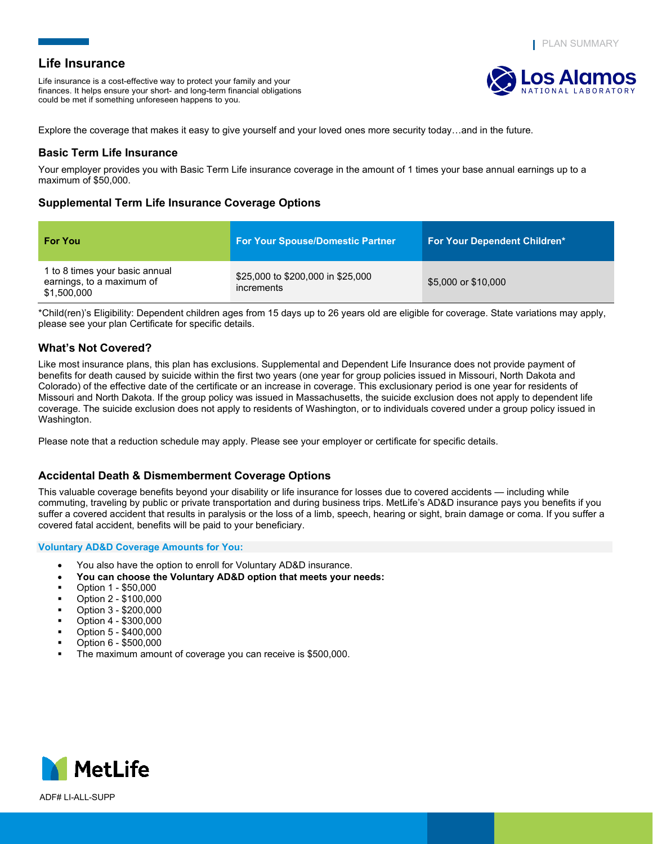<mark>Los Alam</mark>o

# **Life Insurance**

Life insurance is a cost-effective way to protect your family and your finances. It helps ensure your short- and long-term financial obligations could be met if something unforeseen happens to you.

Explore the coverage that makes it easy to give yourself and your loved ones more security today…and in the future.

## **Basic Term Life Insurance**

Your employer provides you with Basic Term Life insurance coverage in the amount of 1 times your base annual earnings up to a maximum of \$50,000.

# **Supplemental Term Life Insurance Coverage Options**

| <b>For You</b>                                                             | <b>For Your Spouse/Domestic Partner</b>         | <b>For Your Dependent Children*</b> |
|----------------------------------------------------------------------------|-------------------------------------------------|-------------------------------------|
| 1 to 8 times your basic annual<br>earnings, to a maximum of<br>\$1,500,000 | \$25,000 to \$200,000 in \$25,000<br>increments | \$5,000 or \$10,000                 |

\*Child(ren)'s Eligibility: Dependent children ages from 15 days up to 26 years old are eligible for coverage. State variations may apply, please see your plan Certificate for specific details.

## **What's Not Covered?**

Like most insurance plans, this plan has exclusions. Supplemental and Dependent Life Insurance does not provide payment of benefits for death caused by suicide within the first two years (one year for group policies issued in Missouri, North Dakota and Colorado) of the effective date of the certificate or an increase in coverage. This exclusionary period is one year for residents of Missouri and North Dakota. If the group policy was issued in Massachusetts, the suicide exclusion does not apply to dependent life coverage. The suicide exclusion does not apply to residents of Washington, or to individuals covered under a group policy issued in Washington.

Please note that a reduction schedule may apply. Please see your employer or certificate for specific details.

## **Accidental Death & Dismemberment Coverage Options**

This valuable coverage benefits beyond your disability or life insurance for losses due to covered accidents — including while commuting, traveling by public or private transportation and during business trips. MetLife's AD&D insurance pays you benefits if you suffer a covered accident that results in paralysis or the loss of a limb, speech, hearing or sight, brain damage or coma. If you suffer a covered fatal accident, benefits will be paid to your beneficiary.

## **Voluntary AD&D Coverage Amounts for You:**

- You also have the option to enroll for Voluntary AD&D insurance.
- **You can choose the Voluntary AD&D option that meets your needs:**
- Option 1 \$50,000
- Option 2 \$100,000
- Option 3 \$200,000
- Option 4 \$300,000
- Option 5 \$400,000
- Option 6 \$500,000
- The maximum amount of coverage you can receive is \$500,000.

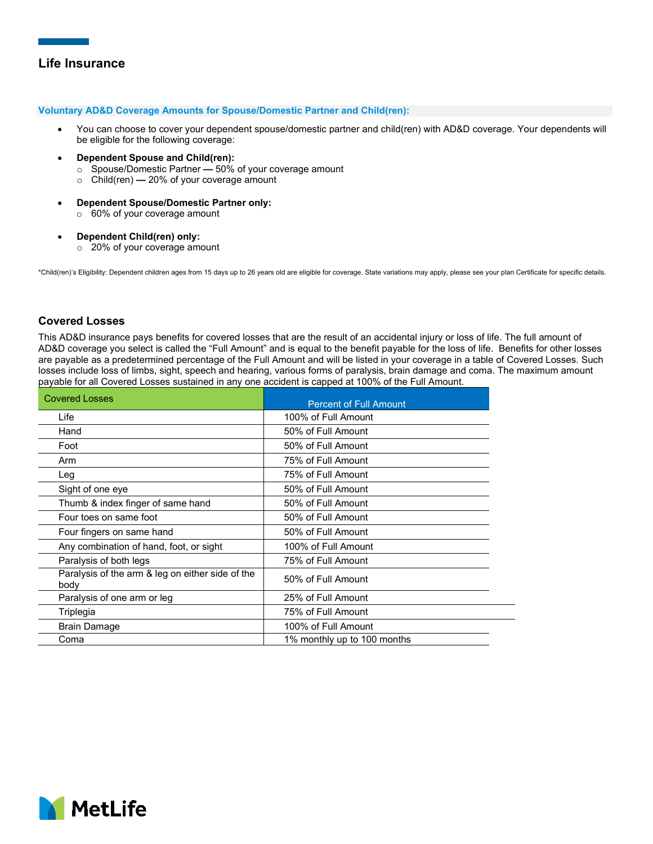### **Voluntary AD&D Coverage Amounts for Spouse/Domestic Partner and Child(ren):**

- You can choose to cover your dependent spouse/domestic partner and child(ren) with AD&D coverage. Your dependents will be eligible for the following coverage:
- **Dependent Spouse and Child(ren):**
	- o Spouse/Domestic Partner **—** 50% of your coverage amount
	- o Child(ren) **—** 20% of your coverage amount
- **Dependent Spouse/Domestic Partner only:** o 60% of your coverage amount
- **Dependent Child(ren) only:**
	- o 20% of your coverage amount

\*Child(ren)'s Eligibility: Dependent children ages from 15 days up to 26 years old are eligible for coverage. State variations may apply, please see your plan Certificate for specific details.

## **Covered Losses**

This AD&D insurance pays benefits for covered losses that are the result of an accidental injury or loss of life. The full amount of AD&D coverage you select is called the "Full Amount" and is equal to the benefit payable for the loss of life. Benefits for other losses are payable as a predetermined percentage of the Full Amount and will be listed in your coverage in a table of Covered Losses. Such losses include loss of limbs, sight, speech and hearing, various forms of paralysis, brain damage and coma. The maximum amount payable for all Covered Losses sustained in any one accident is capped at 100% of the Full Amount.

| <b>Covered Losses</b>                                    | <b>Percent of Full Amount</b> |
|----------------------------------------------------------|-------------------------------|
| Life                                                     | 100% of Full Amount           |
| Hand                                                     | 50% of Full Amount            |
| Foot                                                     | 50% of Full Amount            |
| Arm                                                      | 75% of Full Amount            |
| Leg                                                      | 75% of Full Amount            |
| Sight of one eye                                         | 50% of Full Amount            |
| Thumb & index finger of same hand                        | 50% of Full Amount            |
| Four toes on same foot                                   | 50% of Full Amount            |
| Four fingers on same hand                                | 50% of Full Amount            |
| Any combination of hand, foot, or sight                  | 100% of Full Amount           |
| Paralysis of both legs                                   | 75% of Full Amount            |
| Paralysis of the arm & leg on either side of the<br>body | 50% of Full Amount            |
| Paralysis of one arm or leg                              | 25% of Full Amount            |
| Triplegia                                                | 75% of Full Amount            |
| <b>Brain Damage</b>                                      | 100% of Full Amount           |
| Coma                                                     | 1% monthly up to 100 months   |

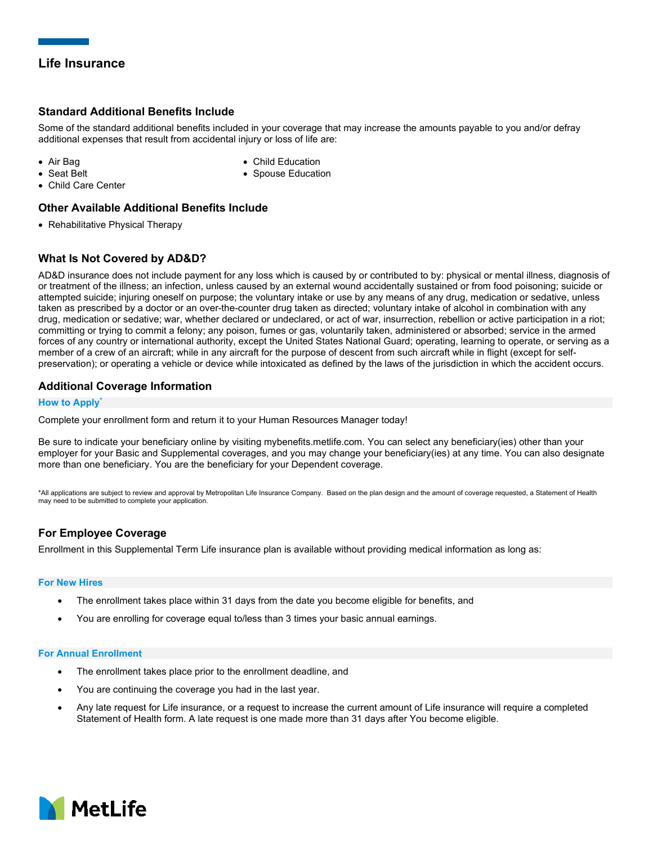# **Standard Additional Benefits Include**

Some of the standard additional benefits included in your coverage that may increase the amounts payable to you and/or defray additional expenses that result from accidental injury or loss of life are:

• Air Bag • Seat Belt

- Child Education
- Spouse Education

• Child Care Center

## **Other Available Additional Benefits Include**

• Rehabilitative Physical Therapy

# **What Is Not Covered by AD&D?**

AD&D insurance does not include payment for any loss which is caused by or contributed to by: physical or mental illness, diagnosis of or treatment of the illness; an infection, unless caused by an external wound accidentally sustained or from food poisoning; suicide or attempted suicide; injuring oneself on purpose; the voluntary intake or use by any means of any drug, medication or sedative, unless taken as prescribed by a doctor or an over-the-counter drug taken as directed; voluntary intake of alcohol in combination with any drug, medication or sedative; war, whether declared or undeclared, or act of war, insurrection, rebellion or active participation in a riot; committing or trying to commit a felony; any poison, fumes or gas, voluntarily taken, administered or absorbed; service in the armed forces of any country or international authority, except the United States National Guard; operating, learning to operate, or serving as a member of a crew of an aircraft; while in any aircraft for the purpose of descent from such aircraft while in flight (except for selfpreservation); or operating a vehicle or device while intoxicated as defined by the laws of the jurisdiction in which the accident occurs.

## **Additional Coverage Information**

## **How to Apply\***

Complete your enrollment form and return it to your Human Resources Manager today!

Be sure to indicate your beneficiary online by visiting mybenefits.metlife.com. You can select any beneficiary(ies) other than your employer for your Basic and Supplemental coverages, and you may change your beneficiary(ies) at any time. You can also designate more than one beneficiary. You are the beneficiary for your Dependent coverage.

\*All applications are subject to review and approval by Metropolitan Life Insurance Company. Based on the plan design and the amount of coverage requested, a Statement of Health may need to be submitted to complete your application.

# **For Employee Coverage**

Enrollment in this Supplemental Term Life insurance plan is available without providing medical information as long as:

#### **For New Hires**

- The enrollment takes place within 31 days from the date you become eligible for benefits, and
- You are enrolling for coverage equal to/less than 3 times your basic annual earnings.

#### **For Annual Enrollment**

- The enrollment takes place prior to the enrollment deadline, and
- You are continuing the coverage you had in the last year.
- Any late request for Life insurance, or a request to increase the current amount of Life insurance will require a completed Statement of Health form. A late request is one made more than 31 days after You become eligible.

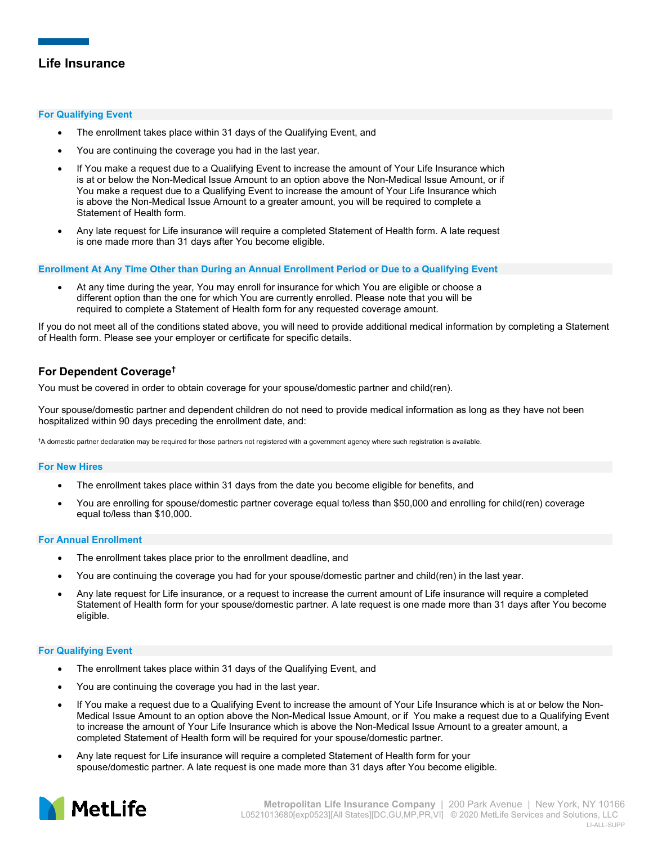## **For Qualifying Event**

- The enrollment takes place within 31 days of the Qualifying Event, and
- You are continuing the coverage you had in the last year.
- If You make a request due to a Qualifying Event to increase the amount of Your Life Insurance which is at or below the Non-Medical Issue Amount to an option above the Non-Medical Issue Amount, or if You make a request due to a Qualifying Event to increase the amount of Your Life Insurance which is above the Non-Medical Issue Amount to a greater amount, you will be required to complete a Statement of Health form.
- Any late request for Life insurance will require a completed Statement of Health form. A late request is one made more than 31 days after You become eligible.

### **Enrollment At Any Time Other than During an Annual Enrollment Period or Due to a Qualifying Event**

• At any time during the year, You may enroll for insurance for which You are eligible or choose a different option than the one for which You are currently enrolled. Please note that you will be required to complete a Statement of Health form for any requested coverage amount.

If you do not meet all of the conditions stated above, you will need to provide additional medical information by completing a Statement of Health form. Please see your employer or certificate for specific details.

# **For Dependent Coverage†**

You must be covered in order to obtain coverage for your spouse/domestic partner and child(ren).

Your spouse/domestic partner and dependent children do not need to provide medical information as long as they have not been hospitalized within 90 days preceding the enrollment date, and:

**†** A domestic partner declaration may be required for those partners not registered with a government agency where such registration is available.

## **For New Hires**

- The enrollment takes place within 31 days from the date you become eligible for benefits, and
- You are enrolling for spouse/domestic partner coverage equal to/less than \$50,000 and enrolling for child(ren) coverage equal to/less than \$10,000.

#### **For Annual Enrollment**

- The enrollment takes place prior to the enrollment deadline, and
- You are continuing the coverage you had for your spouse/domestic partner and child(ren) in the last year.
- Any late request for Life insurance, or a request to increase the current amount of Life insurance will require a completed Statement of Health form for your spouse/domestic partner. A late request is one made more than 31 days after You become eligible.

#### **For Qualifying Event**

- The enrollment takes place within 31 days of the Qualifying Event, and
- You are continuing the coverage you had in the last year.
- If You make a request due to a Qualifying Event to increase the amount of Your Life Insurance which is at or below the Non-Medical Issue Amount to an option above the Non-Medical Issue Amount, or if You make a request due to a Qualifying Event to increase the amount of Your Life Insurance which is above the Non-Medical Issue Amount to a greater amount, a completed Statement of Health form will be required for your spouse/domestic partner.
- Any late request for Life insurance will require a completed Statement of Health form for your spouse/domestic partner. A late request is one made more than 31 days after You become eligible.

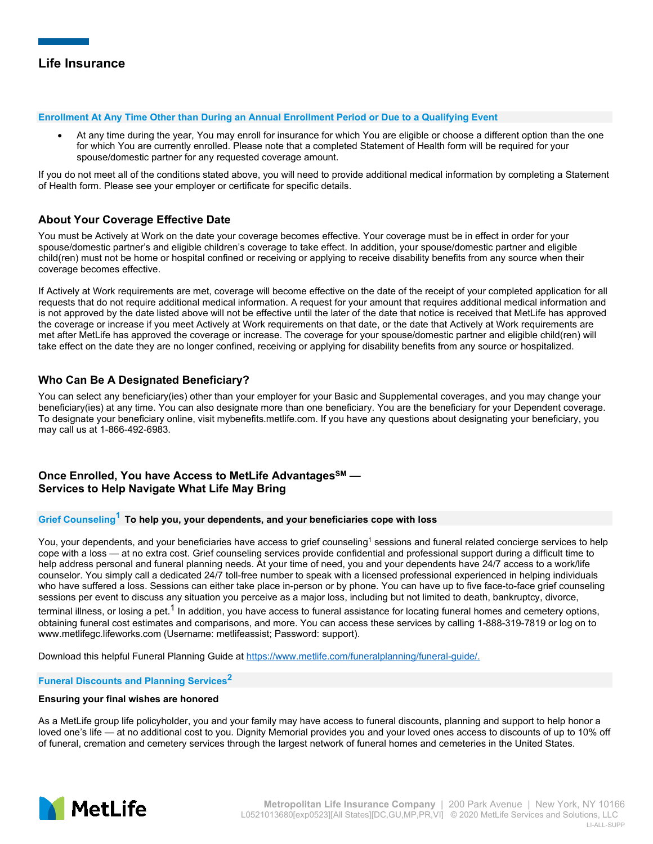### **Enrollment At Any Time Other than During an Annual Enrollment Period or Due to a Qualifying Event**

• At any time during the year, You may enroll for insurance for which You are eligible or choose a different option than the one for which You are currently enrolled. Please note that a completed Statement of Health form will be required for your spouse/domestic partner for any requested coverage amount.

If you do not meet all of the conditions stated above, you will need to provide additional medical information by completing a Statement of Health form. Please see your employer or certificate for specific details.

# **About Your Coverage Effective Date**

You must be Actively at Work on the date your coverage becomes effective. Your coverage must be in effect in order for your spouse/domestic partner's and eligible children's coverage to take effect. In addition, your spouse/domestic partner and eligible child(ren) must not be home or hospital confined or receiving or applying to receive disability benefits from any source when their coverage becomes effective.

If Actively at Work requirements are met, coverage will become effective on the date of the receipt of your completed application for all requests that do not require additional medical information. A request for your amount that requires additional medical information and is not approved by the date listed above will not be effective until the later of the date that notice is received that MetLife has approved the coverage or increase if you meet Actively at Work requirements on that date, or the date that Actively at Work requirements are met after MetLife has approved the coverage or increase. The coverage for your spouse/domestic partner and eligible child(ren) will take effect on the date they are no longer confined, receiving or applying for disability benefits from any source or hospitalized.

# **Who Can Be A Designated Beneficiary?**

You can select any beneficiary(ies) other than your employer for your Basic and Supplemental coverages, and you may change your beneficiary(ies) at any time. You can also designate more than one beneficiary. You are the beneficiary for your Dependent coverage. To designate your beneficiary online, visi[t mybenefits.metlife.com.](https://servicing.online.metlife.com/public/site/groupsearch) If you have any questions about designating your beneficiary, you may call us at 1-866-492-6983.

# **Once Enrolled, You have Access to MetLife AdvantagesSM — Services to Help Navigate What Life May Bring**

# **Grief Counseling<sup>1</sup> To help you, your dependents, and your beneficiaries cope with loss**

You, your dependents, and your beneficiaries have access to grief counseling<sup>1</sup> sessions and funeral related concierge services to help cope with a loss — at no extra cost. Grief counseling services provide confidential and professional support during a difficult time to help address personal and funeral planning needs. At your time of need, you and your dependents have 24/7 access to a work/life counselor. You simply call a dedicated 24/7 toll-free number to speak with a licensed professional experienced in helping individuals who have suffered a loss. Sessions can either take place in-person or by phone. You can have up to five face-to-face grief counseling sessions per event to discuss any situation you perceive as a major loss, including but not limited to death, bankruptcy, divorce, terminal illness, or losing a pet.<sup>1</sup> In addition, you have access to funeral assistance for locating funeral homes and cemetery options, obtaining funeral cost estimates and comparisons, and more. You can access these services by calling 1-888-319-7819 or log on to www.metlifegc.lifeworks.com (Username: metlifeassist; Password: support).

Download this helpful Funeral Planning Guide at https://www.metlife.com/funeralplanning/funeral-quide/.

## **Funeral Discounts and Planning Services<sup>2</sup>**

## **Ensuring your final wishes are honored**

As a MetLife group life policyholder, you and your family may have access to funeral discounts, planning and support to help honor a loved one's life — at no additional cost to you. Dignity Memorial provides you and your loved ones access to discounts of up to 10% off of funeral, cremation and cemetery services through the largest network of funeral homes and cemeteries in the United States.

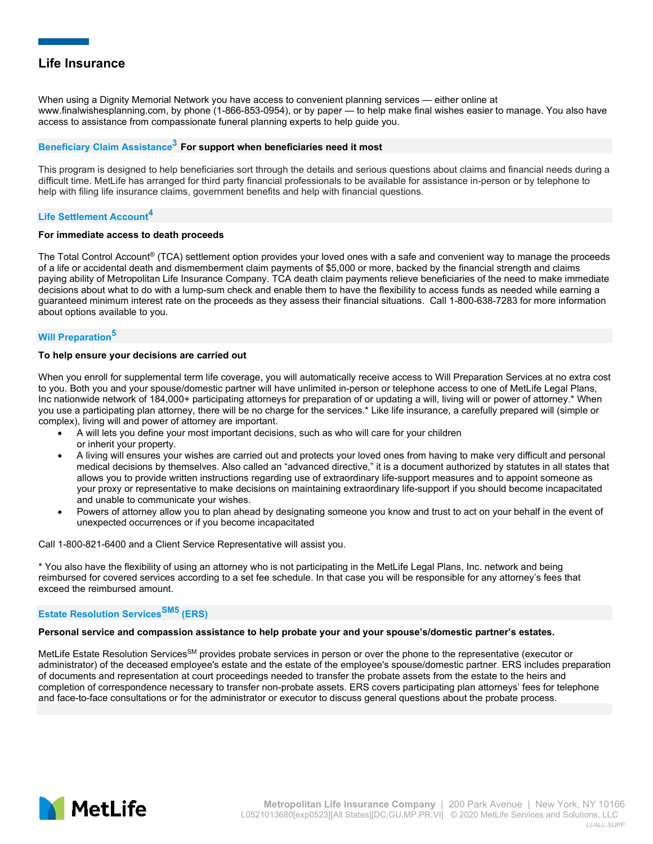When using a Dignity Memorial Network you have access to convenient planning services — either online at www.finalwishesplanning.com, by phone (1-866-853-0954), or by paper — to help make final wishes easier to manage. You also have access to assistance from compassionate funeral planning experts to help guide you.

## **Beneficiary Claim Assistance<sup>3</sup> For support when beneficiaries need it most**

This program is designed to help beneficiaries sort through the details and serious questions about claims and financial needs during a difficult time. MetLife has arranged for third party financial professionals to be available for assistance in-person or by telephone to help with filing life insurance claims, government benefits and help with financial questions.

## **Life Settlement Account<sup>4</sup>**

### **For immediate access to death proceeds**

The Total Control Account® (TCA) settlement option provides your loved ones with a safe and convenient way to manage the proceeds of a life or accidental death and dismemberment claim payments of \$5,000 or more, backed by the financial strength and claims paying ability of Metropolitan Life Insurance Company. TCA death claim payments relieve beneficiaries of the need to make immediate decisions about what to do with a lump-sum check and enable them to have the flexibility to access funds as needed while earning a guaranteed minimum interest rate on the proceeds as they assess their financial situations. Call 1-800-638-7283 for more information about options available to you.

## **Will Preparation<sup>5</sup>**

### **To help ensure your decisions are carried out**

When you enroll for supplemental term life coverage, you will automatically receive access to Will Preparation Services at no extra cost to you. Both you and your spouse/domestic partner will have unlimited in-person or telephone access to one of MetLife Legal Plans, Inc nationwide network of 184,000+ participating attorneys for preparation of or updating a will, living will or power of attorney.\* When you use a participating plan attorney, there will be no charge for the services.\* Like life insurance, a carefully prepared will (simple or complex), living will and power of attorney are important.

- A will lets you define your most important decisions, such as who will care for your children or inherit your property.
- A living will ensures your wishes are carried out and protects your loved ones from having to make very difficult and personal medical decisions by themselves. Also called an "advanced directive," it is a document authorized by statutes in all states that allows you to provide written instructions regarding use of extraordinary life-support measures and to appoint someone as your proxy or representative to make decisions on maintaining extraordinary life-support if you should become incapacitated and unable to communicate your wishes.
- Powers of attorney allow you to plan ahead by designating someone you know and trust to act on your behalf in the event of unexpected occurrences or if you become incapacitated

Call 1-800-821-6400 and a Client Service Representative will assist you.

\* You also have the flexibility of using an attorney who is not participating in the MetLife Legal Plans, Inc. network and being reimbursed for covered services according to a set fee schedule. In that case you will be responsible for any attorney's fees that exceed the reimbursed amount.

# **Estate Resolution ServicesSM5 (ERS)**

#### **Personal service and compassion assistance to help probate your and your spouse's/domestic partner's estates.**

MetLife Estate Resolution Services<sup>SM</sup> provides probate services in person or over the phone to the representative (executor or administrator) of the deceased employee's estate and the estate of the employee's spouse/domestic partner. ERS includes preparation of documents and representation at court proceedings needed to transfer the probate assets from the estate to the heirs and completion of correspondence necessary to transfer non-probate assets. ERS covers participating plan attorneys' fees for telephone and face-to-face consultations or for the administrator or executor to discuss general questions about the probate process.

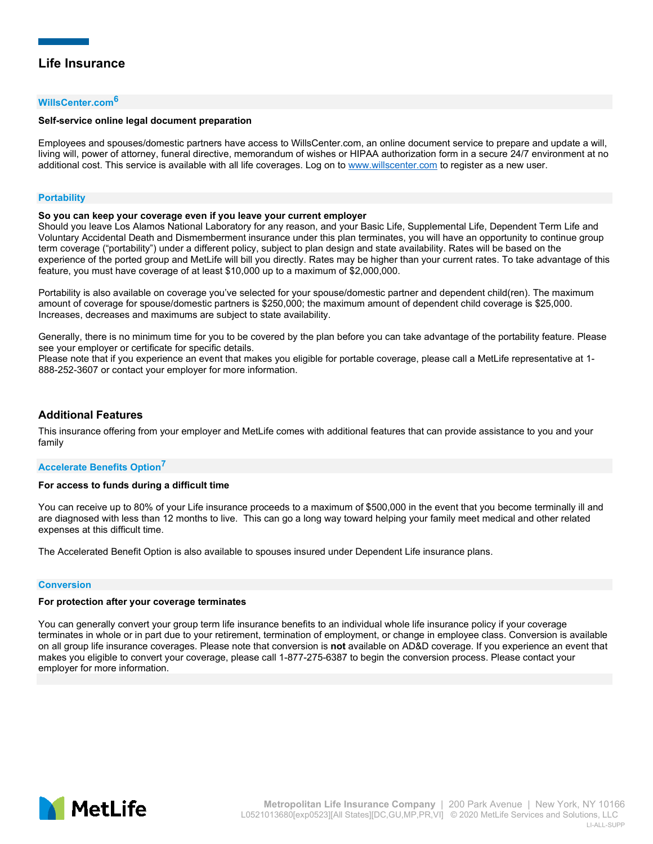### **WillsCenter.com<sup>6</sup>**

### **Self-service online legal document preparation**

Employees and spouses/domestic partners have access to WillsCenter.com, an online document service to prepare and update a will, living will, power of attorney, funeral directive, memorandum of wishes or HIPAA authorization form in a secure 24/7 environment at no additional cost. This service is available with all life coverages. Log on to [www.willscenter.com](http://www.willscenter.com/) to register as a new user.

#### **Portability**

#### **So you can keep your coverage even if you leave your current employer**

Should you leave Los Alamos National Laboratory for any reason, and your Basic Life, Supplemental Life, Dependent Term Life and Voluntary Accidental Death and Dismemberment insurance under this plan terminates, you will have an opportunity to continue group term coverage ("portability") under a different policy, subject to plan design and state availability. Rates will be based on the experience of the ported group and MetLife will bill you directly. Rates may be higher than your current rates. To take advantage of this feature, you must have coverage of at least \$10,000 up to a maximum of \$2,000,000.

Portability is also available on coverage you've selected for your spouse/domestic partner and dependent child(ren). The maximum amount of coverage for spouse/domestic partners is \$250,000; the maximum amount of dependent child coverage is \$25,000. Increases, decreases and maximums are subject to state availability.

Generally, there is no minimum time for you to be covered by the plan before you can take advantage of the portability feature. Please see your employer or certificate for specific details.

Please note that if you experience an event that makes you eligible for portable coverage, please call a MetLife representative at 1- 888-252-3607 or contact your employer for more information.

## **Additional Features**

This insurance offering from your employer and MetLife comes with additional features that can provide assistance to you and your family

#### **Accelerate Benefits Option<sup>7</sup>**

#### **For access to funds during a difficult time**

You can receive up to 80% of your Life insurance proceeds to a maximum of \$500,000 in the event that you become terminally ill and are diagnosed with less than 12 months to live. This can go a long way toward helping your family meet medical and other related expenses at this difficult time.

The Accelerated Benefit Option is also available to spouses insured under Dependent Life insurance plans.

#### **Conversion**

#### **For protection after your coverage terminates**

You can generally convert your group term life insurance benefits to an individual whole life insurance policy if your coverage terminates in whole or in part due to your retirement, termination of employment, or change in employee class. Conversion is available on all group life insurance coverages. Please note that conversion is **not** available on AD&D coverage. If you experience an event that makes you eligible to convert your coverage, please call 1-877-275-6387 to begin the conversion process. Please contact your employer for more information.

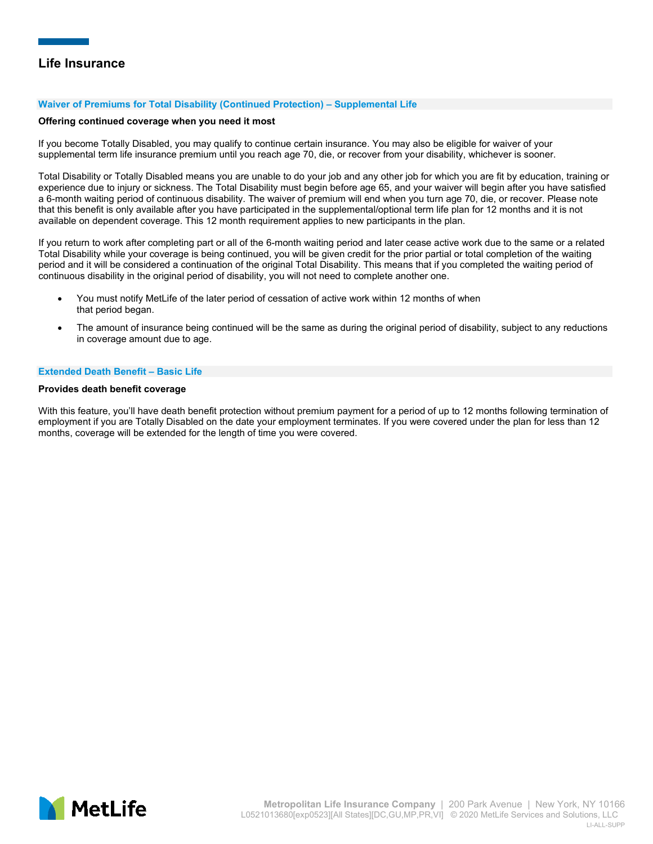### **Waiver of Premiums for Total Disability (Continued Protection) – Supplemental Life**

#### **Offering continued coverage when you need it most**

If you become Totally Disabled, you may qualify to continue certain insurance. You may also be eligible for waiver of your supplemental term life insurance premium until you reach age 70, die, or recover from your disability, whichever is sooner.

Total Disability or Totally Disabled means you are unable to do your job and any other job for which you are fit by education, training or experience due to injury or sickness. The Total Disability must begin before age 65, and your waiver will begin after you have satisfied a 6-month waiting period of continuous disability. The waiver of premium will end when you turn age 70, die, or recover. Please note that this benefit is only available after you have participated in the supplemental/optional term life plan for 12 months and it is not available on dependent coverage. This 12 month requirement applies to new participants in the plan.

If you return to work after completing part or all of the 6-month waiting period and later cease active work due to the same or a related Total Disability while your coverage is being continued, you will be given credit for the prior partial or total completion of the waiting period and it will be considered a continuation of the original Total Disability. This means that if you completed the waiting period of continuous disability in the original period of disability, you will not need to complete another one.

- You must notify MetLife of the later period of cessation of active work within 12 months of when that period began.
- The amount of insurance being continued will be the same as during the original period of disability, subject to any reductions in coverage amount due to age.

#### **Extended Death Benefit – Basic Life**

#### **Provides death benefit coverage**

With this feature, you'll have death benefit protection without premium payment for a period of up to 12 months following termination of employment if you are Totally Disabled on the date your employment terminates. If you were covered under the plan for less than 12 months, coverage will be extended for the length of time you were covered.